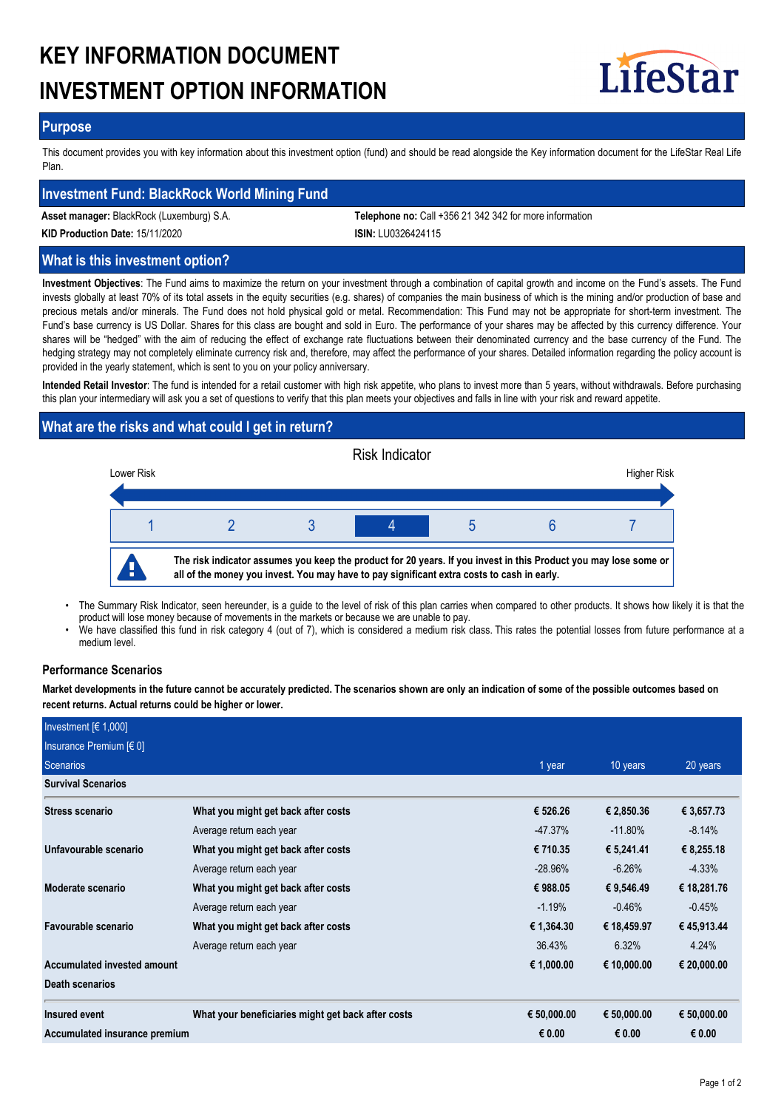# **KEY INFORMATION DOCUMENT INVESTMENT OPTION INFORMATION**



## **Purpose**

This document provides you with key information about this investment option (fund) and should be read alongside the Key information document for the LifeStar Real Life Plan.

## **Investment Fund: BlackRock World Mining Fund**

**Asset manager:** BlackRock (Luxemburg) S.A. **Telephone no:** Call +356 21 342 342 for more information

**KID Production Date:** 15/11/2020 **ISIN:** LU0326424115

## **What is this investment option?**

**Investment Objectives**: The Fund aims to maximize the return on your investment through a combination of capital growth and income on the Fund's assets. The Fund invests globally at least 70% of its total assets in the equity securities (e.g. shares) of companies the main business of which is the mining and/or production of base and precious metals and/or minerals. The Fund does not hold physical gold or metal. Recommendation: This Fund may not be appropriate for short-term investment. The Fund's base currency is US Dollar. Shares for this class are bought and sold in Euro. The performance of your shares may be affected by this currency difference. Your shares will be "hedged" with the aim of reducing the effect of exchange rate fluctuations between their denominated currency and the base currency of the Fund. The hedging strategy may not completely eliminate currency risk and, therefore, may affect the performance of your shares. Detailed information regarding the policy account is provided in the yearly statement, which is sent to you on your policy anniversary.

**Intended Retail Investor**: The fund is intended for a retail customer with high risk appetite, who plans to invest more than 5 years, without withdrawals. Before purchasing this plan your intermediary will ask you a set of questions to verify that this plan meets your objectives and falls in line with your risk and reward appetite.

## **What are the risks and what could I get in return?**



- The Summary Risk Indicator, seen hereunder, is a guide to the level of risk of this plan carries when compared to other products. It shows how likely it is that the product will lose money because of movements in the markets or because we are unable to pay. •
- We have classified this fund in risk category 4 (out of 7), which is considered a medium risk class. This rates the potential losses from future performance at a medium level. •

## **Performance Scenarios**

**Market developments in the future cannot be accurately predicted. The scenarios shown are only an indication of some of the possible outcomes based on recent returns. Actual returns could be higher or lower.**

| Investment $F(1,000]$         |                                                    |             |             |             |
|-------------------------------|----------------------------------------------------|-------------|-------------|-------------|
| Insurance Premium $[6 0]$     |                                                    |             |             |             |
| Scenarios                     |                                                    | 1 year      | 10 years    | 20 years    |
| <b>Survival Scenarios</b>     |                                                    |             |             |             |
| Stress scenario               | What you might get back after costs                | € 526.26    | € 2,850.36  | € 3,657.73  |
|                               | Average return each year                           | $-47.37\%$  | $-11.80\%$  | $-8.14%$    |
| Unfavourable scenario         | What you might get back after costs                | € 710.35    | € 5,241.41  | € 8,255.18  |
|                               | Average return each year                           | $-28.96\%$  | $-6.26%$    | $-4.33%$    |
| Moderate scenario             | What you might get back after costs                | € 988.05    | € 9,546.49  | € 18,281.76 |
|                               | Average return each year                           | $-1.19%$    | $-0.46%$    | $-0.45%$    |
| Favourable scenario           | What you might get back after costs                | € 1,364.30  | € 18,459.97 | € 45,913.44 |
|                               | Average return each year                           | 36.43%      | 6.32%       | 4.24%       |
| Accumulated invested amount   |                                                    | € 1,000.00  | € 10,000.00 | € 20,000.00 |
| Death scenarios               |                                                    |             |             |             |
| Insured event                 | What your beneficiaries might get back after costs | € 50,000.00 | € 50,000.00 | € 50,000.00 |
| Accumulated insurance premium |                                                    | € 0.00      | € 0.00      | € 0.00      |